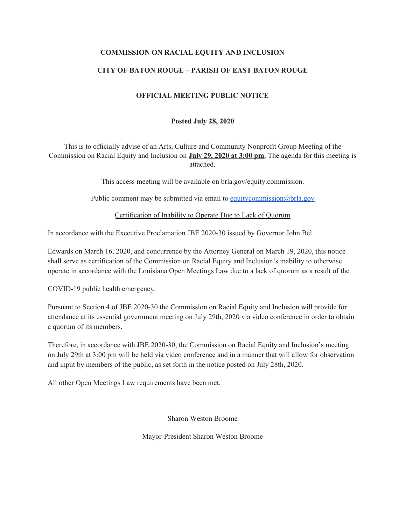### **COMMISSION ON RACIAL EQUITY AND INCLUSION**

## **CITY OF BATON ROUGE – PARISH OF EAST BATON ROUGE**

### **OFFICIAL MEETING PUBLIC NOTICE**

### **Posted July 28, 2020**

This is to officially advise of an Arts, Culture and Community Nonprofit Group Meeting of the Commission on Racial Equity and Inclusion on **July 29, 2020 at 3:00 pm**. The agenda for this meeting is attached.

This access meeting will be available on brla.gov/equity.commission.

Public comment may be submitted via email to [equitycommission@brla.gov](mailto:equitycommission@brla.gov)

Certification of Inability to Operate Due to Lack of Quorum

In accordance with the Executive Proclamation JBE 2020-30 issued by Governor John Bel

Edwards on March 16, 2020, and concurrence by the Attorney General on March 19, 2020, this notice shall serve as certification of the Commission on Racial Equity and Inclusion's inability to otherwise operate in accordance with the Louisiana Open Meetings Law due to a lack of quorum as a result of the

COVID-19 public health emergency.

Pursuant to Section 4 of JBE 2020-30 the Commission on Racial Equity and Inclusion will provide for attendance at its essential government meeting on July 29th, 2020 via video conference in order to obtain a quorum of its members.

Therefore, in accordance with JBE 2020-30, the Commission on Racial Equity and Inclusion's meeting on July 29th at 3:00 pm will be held via video conference and in a manner that will allow for observation and input by members of the public, as set forth in the notice posted on July 28th, 2020.

All other Open Meetings Law requirements have been met.

Sharon Weston Broome

Mayor-President Sharon Weston Broome